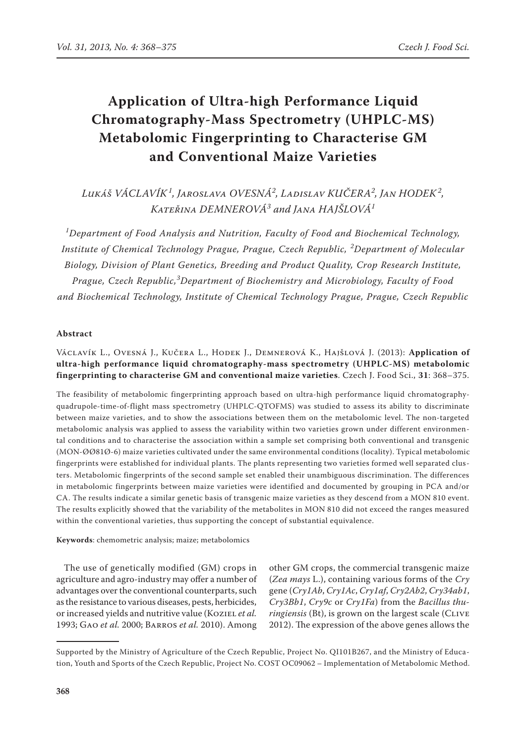# **Application of Ultra-high Performance Liquid Chromatography-Mass Spectrometry (UHPLC-MS) Metabolomic Fingerprinting to Characterise GM and Conventional Maize Varieties**

# *Lukáš VÁCLAVÍK<sup>1</sup> , Jaroslava OVESNÁ<sup>2</sup> , Ladislav KUČERA<sup>2</sup> , Jan HODEK<sup>2</sup> , Kateřina DEMNEROVÁ<sup>3</sup> and Jana HAJŠLOVÁ<sup>1</sup>*

*1 Department of Food Analysis and Nutrition, Faculty of Food and Biochemical Technology, Institute of Chemical Technology Prague, Prague, Czech Republic, <sup>2</sup> Department of Molecular Biology, Division of Plant Genetics, Breeding and Product Quality, Crop Research Institute, Prague, Czech Republic,<sup>3</sup> Department of Biochemistry and Microbiology, Faculty of Food and Biochemical Technology, Institute of Chemical Technology Prague, Prague, Czech Republic*

# **Abstract**

# Václavík L., Ovesná J., Kučera L., Hodek J., Demnerová K., Hajšlová J. (2013): **Application of ultra-high performance liquid chromatography-mass spectrometry (UHPLC-MS) metabolomic fingerprinting to characterise GM and conventional maize varieties**. Czech J. Food Sci., **31**: 368–375.

The feasibility of metabolomic fingerprinting approach based on ultra-high performance liquid chromatographyquadrupole-time-of-flight mass spectrometry (UHPLC-QTOFMS) was studied to assess its ability to discriminate between maize varieties, and to show the associations between them on the metabolomic level. The non-targeted metabolomic analysis was applied to assess the variability within two varieties grown under different environmental conditions and to characterise the association within a sample set comprising both conventional and transgenic (MON-ØØ81Ø-6) maize varieties cultivated under the same environmental conditions (locality). Typical metabolomic fingerprints were established for individual plants. The plants representing two varieties formed well separated clusters. Metabolomic fingerprints of the second sample set enabled their unambiguous discrimination. The differences in metabolomic fingerprints between maize varieties were identified and documented by grouping in PCA and/or CA. The results indicate a similar genetic basis of transgenic maize varieties as they descend from a MON 810 event. The results explicitly showed that the variability of the metabolites in MON 810 did not exceed the ranges measured within the conventional varieties, thus supporting the concept of substantial equivalence.

**Keywords**: chemometric analysis; maize; metabolomics

The use of genetically modified (GM) crops in agriculture and agro-industry may offer a number of advantages over the conventional counterparts, such as the resistance to various diseases, pests, herbicides, or increased yields and nutritive value (Koziel *et al.* 1993; Gao *et al.* 2000; Barros *et al.* 2010). Among

other GM crops, the commercial transgenic maize (*Zea mays* L.), containing various forms of the *Cry* gene (*Cry1Ab*, *Cry1Ac*, *Cry1af*, *Cry2Ab2*, *Cry34ab1*, *Cry3Bb1*, *Cry9c* or *Cry1Fa*) from the *Bacillus thuringiensis* (Bt), is grown on the largest scale (CLIVE 2012). The expression of the above genes allows the

Supported by the Ministry of Agriculture of the Czech Republic, Project No. QI101B267, and the Ministry of Education, Youth and Sports of the Czech Republic, Project No. COST OC09062 – Implementation of Metabolomic Method.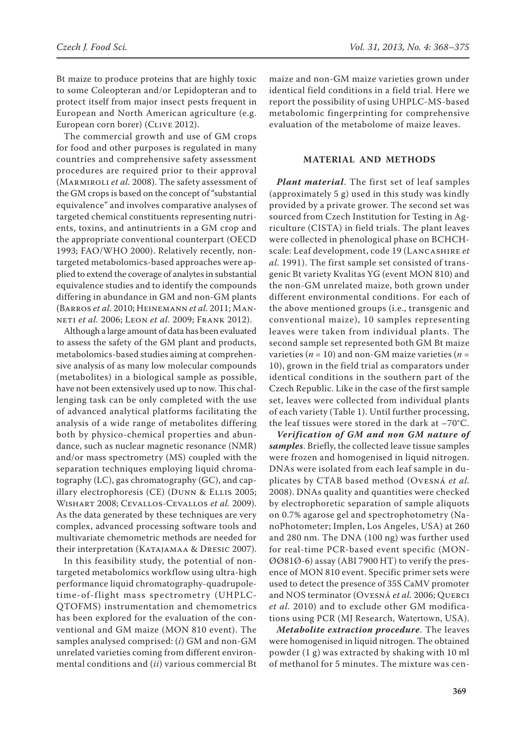Bt maize to produce proteins that are highly toxic to some Coleopteran and/or Lepidopteran and to protect itself from major insect pests frequent in European and North American agriculture (e.g. European corn borer) (CLIVE 2012).

The commercial growth and use of GM crops for food and other purposes is regulated in many countries and comprehensive safety assessment procedures are required prior to their approval (Marmiroli *et al.* 2008). The safety assessment of the GM crops is based on the concept of "substantial equivalence" and involves comparative analyses of targeted chemical constituents representing nutrients, toxins, and antinutrients in a GM crop and the appropriate conventional counterpart (OECD 1993; FAO/WHO 2000). Relatively recently, nontargeted metabolomics-based approaches were applied to extend the coverage of analytes in substantial equivalence studies and to identify the compounds differing in abundance in GM and non-GM plants (Barros *et al.* 2010; Heinemann *et al.* 2011; Manneti *et al.* 2006; Leon *et al.* 2009; Frank 2012).

Although a large amount of data has been evaluated to assess the safety of the GM plant and products, metabolomics-based studies aiming at comprehensive analysis of as many low molecular compounds (metabolites) in a biological sample as possible, have not been extensively used up to now. This challenging task can be only completed with the use of advanced analytical platforms facilitating the analysis of a wide range of metabolites differing both by physico-chemical properties and abundance, such as nuclear magnetic resonance (NMR) and/or mass spectrometry (MS) coupled with the separation techniques employing liquid chromatography (LC), gas chromatography (GC), and capillary electrophoresis (CE) (Dunn & Ellis 2005; Wishart 2008; Cevallos-Cevallos *et al.* 2009). As the data generated by these techniques are very complex, advanced processing software tools and multivariate chemometric methods are needed for their interpretation (KATAJAMAA & DRESIC 2007).

In this feasibility study, the potential of nontargeted metabolomics workflow using ultra-high performance liquid chromatography-quadrupoletime-of-flight mass spectrometry (UHPLC-QTOFMS) instrumentation and chemometrics has been explored for the evaluation of the conventional and GM maize (MON 810 event). The samples analysed comprised: (*i*) GM and non-GM unrelated varieties coming from different environmental conditions and (*ii*) various commercial Bt

maize and non-GM maize varieties grown under identical field conditions in a field trial. Here we report the possibility of using UHPLC-MS-based metabolomic fingerprinting for comprehensive evaluation of the metabolome of maize leaves.

# **MATERIAL AND METHODS**

*Plant material*. The first set of leaf samples (approximately 5 g) used in this study was kindly provided by a private grower. The second set was sourced from Czech Institution for Testing in Agriculture (CISTA) in field trials. The plant leaves were collected in phenological phase on BCHCHscale: Leaf development, code 19 (Lancashire *et al.* 1991). The first sample set consisted of transgenic Bt variety Kvalitas YG (event MON 810) and the non-GM unrelated maize, both grown under different environmental conditions. For each of the above mentioned groups (i.e., transgenic and conventional maize), 10 samples representing leaves were taken from individual plants. The second sample set represented both GM Bt maize varieties ( $n = 10$ ) and non-GM maize varieties ( $n =$ 10), grown in the field trial as comparators under identical conditions in the southern part of the Czech Republic. Like in the case of the first sample set, leaves were collected from individual plants of each variety (Table 1). Until further processing, the leaf tissues were stored in the dark at –70°C.

*Verification of GM and non GM nature of samples*. Briefly, the collected leave tissue samples were frozen and homogenised in liquid nitrogen. DNAs were isolated from each leaf sample in duplicates by CTAB based method (Ovesná *et al.* 2008). DNAs quality and quantities were checked by electrophoretic separation of sample aliquots on 0.7% agarose gel and spectrophotometry (NanoPhotometer; Implen, Los Angeles, USA) at 260 and 280 nm. The DNA (100 ng) was further used for real-time PCR-based event specific (MON-ØØ81Ø-6) assay (ABI 7900 HT) to verify the presence of MON 810 event. Specific primer sets were used to detect the presence of 35S CaMV promoter and NOS terminator (Ovesná *et al.* 2006; Querci *et al.* 2010) and to exclude other GM modifications using PCR (MJ Research, Watertown, USA).

*Metabolite extraction procedure*. The leaves were homogenised in liquid nitrogen. The obtained powder (1 g) was extracted by shaking with 10 ml of methanol for 5 minutes. The mixture was cen-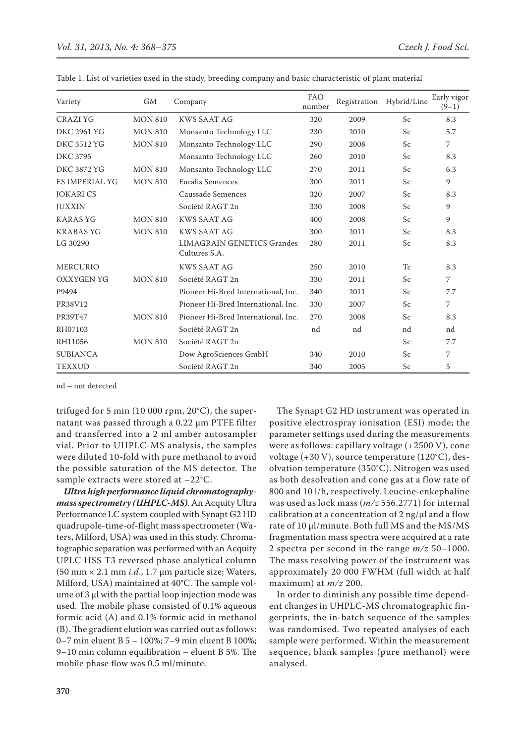| <b>GM</b><br>Variety |                | Company                                            | <b>FAO</b><br>number | Registration | Hybrid/Line    | Early vigor<br>$(9-1)$ |
|----------------------|----------------|----------------------------------------------------|----------------------|--------------|----------------|------------------------|
| CRAZI YG             | <b>MON 810</b> | KWS SAAT AG                                        | 320                  | 2009         | Sc             | 8.3                    |
| <b>DKC 2961 YG</b>   | <b>MON 810</b> | Monsanto Technology LLC                            | 230                  | 2010         | Sc             | 5.7                    |
| <b>DKC 3512 YG</b>   | <b>MON 810</b> | Monsanto Technology LLC                            | 290                  | 2008         | Sc             | 7                      |
| <b>DKC 3795</b>      |                | Monsanto Technology LLC                            | 260                  | 2010         | Sc             | 8.3                    |
| <b>DKC 3872 YG</b>   | <b>MON 810</b> | Monsanto Technology LLC                            | 270                  | 2011         | Sc             | 6.3                    |
| ES IMPERIAL YG       | <b>MON 810</b> | Euralis Semences                                   | 300                  | 2011         | Sc             | 9                      |
| <b>JOKARICS</b>      |                | Caussade Semences                                  | 320                  | 2007         | Sc             | 8.3                    |
| <b>JUXXIN</b>        |                | Société RAGT 2n                                    | 330                  | 2008         | Sc             | 9                      |
| <b>KARAS YG</b>      | <b>MON 810</b> | KWS SAAT AG                                        | 400                  | 2008         | Sc             | 9                      |
| <b>KRABAS YG</b>     | <b>MON 810</b> | <b>KWS SAAT AG</b>                                 | 300                  | 2011         | Sc             | 8.3                    |
| LG 30290             |                | <b>LIMAGRAIN GENETICS Grandes</b><br>Cultures S.A. | 280                  | 2011         | Sc             | 8.3                    |
| <b>MERCURIO</b>      |                | <b>KWS SAAT AG</b>                                 | 250                  | 2010         | T <sub>c</sub> | 8.3                    |
| <b>OXXYGEN YG</b>    | <b>MON 810</b> | Société RAGT 2n                                    | 330                  | 2011         | Sc             | 7                      |
| P9494                |                | Pioneer Hi-Bred International, Inc.                | 340                  | 2011         | Sc             | 7.7                    |
| PR38V12              |                | Pioneer Hi-Bred International, Inc.                | 330                  | 2007         | Sc             | 7                      |
| PR39T47              | <b>MON 810</b> | Pioneer Hi-Bred International, Inc.                | 270                  | 2008         | Sc             | 8.3                    |
| RH07103              |                | Société RAGT 2n                                    | nd                   | nd           | nd             | nd                     |
| RH11056              | <b>MON 810</b> | Société RAGT 2n                                    |                      |              | Sc             | 7.7                    |
| <b>SUBIANCA</b>      |                | Dow AgroSciences GmbH                              | 340                  | 2010         | Sc             | 7                      |
| <b>TEXXUD</b>        |                | Société RAGT 2n                                    | 340                  | 2005         | Sc             | 5                      |

|  |  |  |  |  |  |  |  |  |  | Table 1. List of varieties used in the study, breeding company and basic characteristic of plant material |  |  |
|--|--|--|--|--|--|--|--|--|--|-----------------------------------------------------------------------------------------------------------|--|--|
|--|--|--|--|--|--|--|--|--|--|-----------------------------------------------------------------------------------------------------------|--|--|

nd – not detected

trifuged for 5 min (10 000 rpm, 20°C), the supernatant was passed through a 0.22 µm PTFE filter and transferred into a 2 ml amber autosampler vial. Prior to UHPLC-MS analysis, the samples were diluted 10-fold with pure methanol to avoid the possible saturation of the MS detector. The sample extracts were stored at –22°C.

*Ultra high performance liquid chromatographymass spectrometry (UHPLC-MS)*. An Acquity Ultra Performance LC system coupled with Synapt G2 HD quadrupole-time-of-flight mass spectrometer (Waters, Milford, USA) was used in this study. Chromatographic separation was performed with an Acquity UPLC HSS T3 reversed phase analytical column (50 mm × 2.1 mm *i.d*., 1.7 µm particle size; Waters, Milford, USA) maintained at 40°C. The sample volume of 3 µl with the partial loop injection mode was used. The mobile phase consisted of 0.1% aqueous formic acid (A) and 0.1% formic acid in methanol (B). The gradient elution was carried out as follows: 0–7 min eluent B 5 – 100%; 7–9 min eluent B 100%; 9–10 min column equilibration – eluent B 5%. The mobile phase flow was 0.5 ml/minute.

The Synapt G2 HD instrument was operated in positive electrospray ionisation (ESI) mode; the parameter settings used during the measurements were as follows: capillary voltage (+2500 V), cone voltage (+30 V), source temperature (120°C), desolvation temperature (350°C). Nitrogen was used as both desolvation and cone gas at a flow rate of 800 and 10 l/h, respectively. Leucine-enkephaline was used as lock mass (*m/z* 556.2771) for internal calibration at a concentration of  $2$  ng/ $\mu$ l and a flow rate of 10 µl/minute. Both full MS and the MS/MS fragmentation mass spectra were acquired at a rate 2 spectra per second in the range *m/z* 50–1000. The mass resolving power of the instrument was approximately 20 000 FWHM (full width at half maximum) at *m/z* 200.

In order to diminish any possible time dependent changes in UHPLC-MS chromatographic fingerprints, the in-batch sequence of the samples was randomised. Two repeated analyses of each sample were performed. Within the measurement sequence, blank samples (pure methanol) were analysed.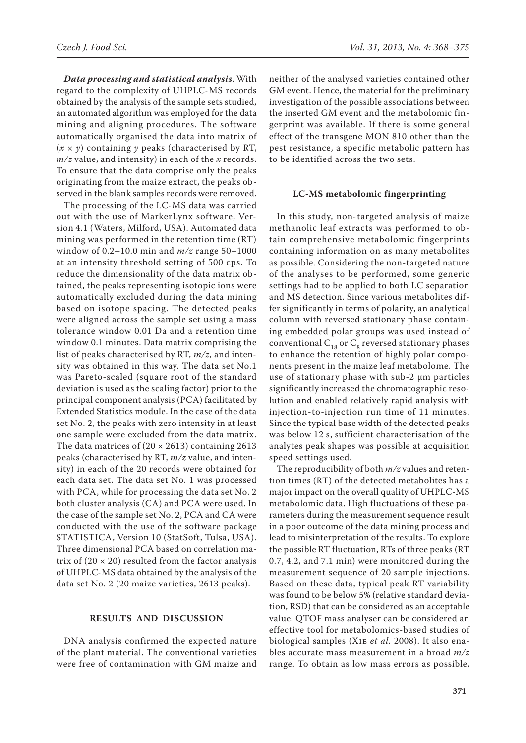*Data processing and statistical analysis*. With regard to the complexity of UHPLC-MS records obtained by the analysis of the sample sets studied, an automated algorithm was employed for the data mining and aligning procedures. The software automatically organised the data into matrix of  $(x \times y)$  containing *y* peaks (characterised by RT, *m/z* value, and intensity) in each of the *x* records. To ensure that the data comprise only the peaks originating from the maize extract, the peaks observed in the blank samples records were removed.

The processing of the LC-MS data was carried out with the use of MarkerLynx software, Version 4.1 (Waters, Milford, USA). Automated data mining was performed in the retention time (RT) window of 0.2–10.0 min and *m/z* range 50–1000 at an intensity threshold setting of 500 cps. To reduce the dimensionality of the data matrix obtained, the peaks representing isotopic ions were automatically excluded during the data mining based on isotope spacing. The detected peaks were aligned across the sample set using a mass tolerance window 0.01 Da and a retention time window 0.1 minutes. Data matrix comprising the list of peaks characterised by RT, *m/z*, and intensity was obtained in this way. The data set No.1 was Pareto-scaled (square root of the standard deviation is used as the scaling factor) prior to the principal component analysis (PCA) facilitated by Extended Statistics module. In the case of the data set No. 2, the peaks with zero intensity in at least one sample were excluded from the data matrix. The data matrices of  $(20 \times 2613)$  containing 2613 peaks (characterised by RT, *m/z* value, and intensity) in each of the 20 records were obtained for each data set. The data set No. 1 was processed with PCA, while for processing the data set No. 2 both cluster analysis (CA) and PCA were used. In the case of the sample set No. 2, PCA and CA were conducted with the use of the software package STATISTICA, Version 10 (StatSoft, Tulsa, USA). Three dimensional PCA based on correlation matrix of  $(20 \times 20)$  resulted from the factor analysis of UHPLC-MS data obtained by the analysis of the data set No. 2 (20 maize varieties, 2613 peaks).

## **RESULTS AND DISCUSSION**

DNA analysis confirmed the expected nature of the plant material. The conventional varieties were free of contamination with GM maize and

neither of the analysed varieties contained other GM event. Hence, the material for the preliminary investigation of the possible associations between the inserted GM event and the metabolomic fingerprint was available. If there is some general effect of the transgene MON 810 other than the pest resistance, a specific metabolic pattern has to be identified across the two sets.

#### **LC-MS metabolomic fingerprinting**

In this study, non-targeted analysis of maize methanolic leaf extracts was performed to obtain comprehensive metabolomic fingerprints containing information on as many metabolites as possible. Considering the non-targeted nature of the analyses to be performed, some generic settings had to be applied to both LC separation and MS detection. Since various metabolites differ significantly in terms of polarity, an analytical column with reversed stationary phase containing embedded polar groups was used instead of conventional  $C_{18}$  or  $C_8$  reversed stationary phases to enhance the retention of highly polar components present in the maize leaf metabolome. The use of stationary phase with sub-2 µm particles significantly increased the chromatographic resolution and enabled relatively rapid analysis with injection-to-injection run time of 11 minutes. Since the typical base width of the detected peaks was below 12 s, sufficient characterisation of the analytes peak shapes was possible at acquisition speed settings used.

The reproducibility of both *m/z* values and retention times (RT) of the detected metabolites has a major impact on the overall quality of UHPLC-MS metabolomic data. High fluctuations of these parameters during the measurement sequence result in a poor outcome of the data mining process and lead to misinterpretation of the results. To explore the possible RT fluctuation, RTs of three peaks (RT 0.7, 4.2, and 7.1 min) were monitored during the measurement sequence of 20 sample injections. Based on these data, typical peak RT variability was found to be below 5% (relative standard deviation, RSD) that can be considered as an acceptable value. QTOF mass analyser can be considered an effective tool for metabolomics-based studies of biological samples (Xie *et al.* 2008). It also enables accurate mass measurement in a broad *m/z* range. To obtain as low mass errors as possible,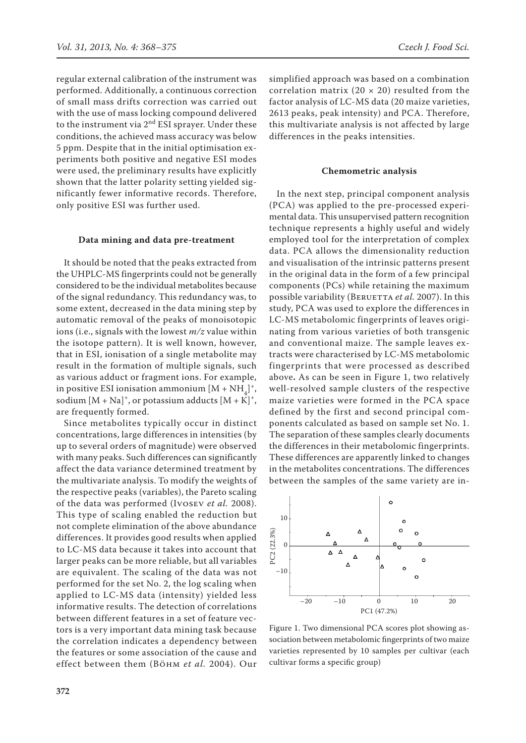regular external calibration of the instrument was performed. Additionally, a continuous correction of small mass drifts correction was carried out with the use of mass locking compound delivered to the instrument via  $2<sup>nd</sup> ESI$  sprayer. Under these conditions, the achieved mass accuracy was below 5 ppm. Despite that in the initial optimisation experiments both positive and negative ESI modes were used, the preliminary results have explicitly shown that the latter polarity setting yielded significantly fewer informative records. Therefore, only positive ESI was further used.

#### **Data mining and data pre-treatment**

It should be noted that the peaks extracted from the UHPLC-MS fingerprints could not be generally considered to be the individual metabolites because of the signal redundancy. This redundancy was, to some extent, decreased in the data mining step by automatic removal of the peaks of monoisotopic ions (i.e., signals with the lowest *m/z* value within the isotope pattern). It is well known, however, that in ESI, ionisation of a single metabolite may result in the formation of multiple signals, such as various adduct or fragment ions. For example, in positive ESI ionisation ammonium  $[M + NH_4]^+,$ sodium  $[M + Na]^+$ , or potassium adducts  $[M + K]^+$ , are frequently formed.

Since metabolites typically occur in distinct concentrations, large differences in intensities (by up to several orders of magnitude) were observed with many peaks. Such differences can significantly affect the data variance determined treatment by the multivariate analysis. To modify the weights of the respective peaks (variables), the Pareto scaling of the data was performed (Ivosev *et al.* 2008). This type of scaling enabled the reduction but not complete elimination of the above abundance differences. It provides good results when applied to LC-MS data because it takes into account that larger peaks can be more reliable, but all variables are equivalent. The scaling of the data was not performed for the set No. 2, the log scaling when applied to LC-MS data (intensity) yielded less informative results. The detection of correlations between different features in a set of feature vectors is a very important data mining task because the correlation indicates a dependency between the features or some association of the cause and effect between them (Böhm *et al.* 2004). Our simplified approach was based on a combination correlation matrix (20  $\times$  20) resulted from the factor analysis of LC-MS data (20 maize varieties, 2613 peaks, peak intensity) and PCA. Therefore, this multivariate analysis is not affected by large differences in the peaks intensities.

#### **Chemometric analysis**

In the next step, principal component analysis (PCA) was applied to the pre-processed experimental data. This unsupervised pattern recognition technique represents a highly useful and widely employed tool for the interpretation of complex data. PCA allows the dimensionality reduction and visualisation of the intrinsic patterns present in the original data in the form of a few principal components (PCs) while retaining the maximum possible variability (BERUETTA *et al.* 2007). In this study, PCA was used to explore the differences in LC-MS metabolomic fingerprints of leaves originating from various varieties of both transgenic and conventional maize. The sample leaves extracts were characterised by LC-MS metabolomic fingerprints that were processed as described above**.** As can be seen in Figure 1, two relatively well-resolved sample clusters of the respective maize varieties were formed in the PCA space defined by the first and second principal components calculated as based on sample set No. 1. The separation of these samples clearly documents the differences in their metabolomic fingerprints. These differences are apparently linked to changes in the metabolites concentrations. The differences between the samples of the same variety are in-



Figure 1. Two dimensional PCA scores plot showing association between metabolomic fingerprints of two maize varieties represented by 10 samples per cultivar (each cultivar forms a specific group)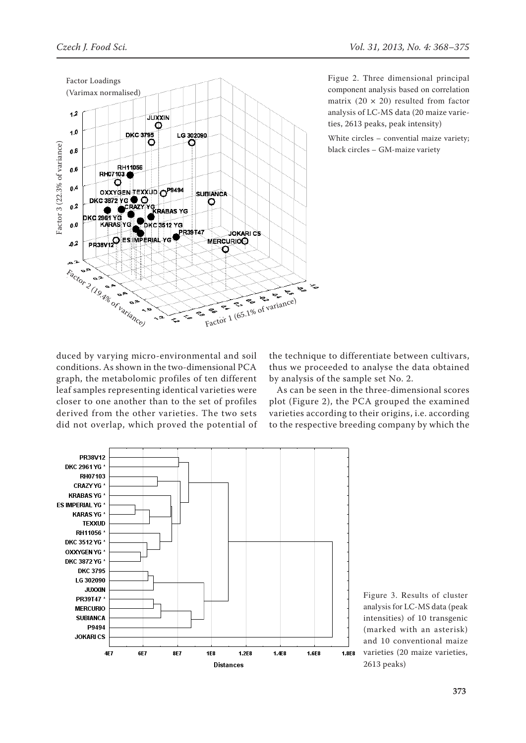

Figue 2. Three dimensional principal component analysis based on correlation matrix  $(20 \times 20)$  resulted from factor analysis of LC-MS data (20 maize varieties, 2613 peaks, peak intensity)

White circles – convential maize variety; black circles – GM-maize variety

duced by varying micro-environmental and soil conditions. As shown in the two-dimensional PCA graph, the metabolomic profiles of ten different leaf samples representing identical varieties were closer to one another than to the set of profiles derived from the other varieties. The two sets did not overlap, which proved the potential of

そっ

the technique to differentiate between cultivars, thus we proceeded to analyse the data obtained by analysis of the sample set No. 2.

As can be seen in the three-dimensional scores plot (Figure 2), the PCA grouped the examined varieties according to their origins, i.e. according to the respective breeding company by which the



Figure 3. Results of cluster analysis for LC-MS data (peak intensities) of 10 transgenic (marked with an asterisk) and 10 conventional maize varieties (20 maize varieties, 2613 peaks)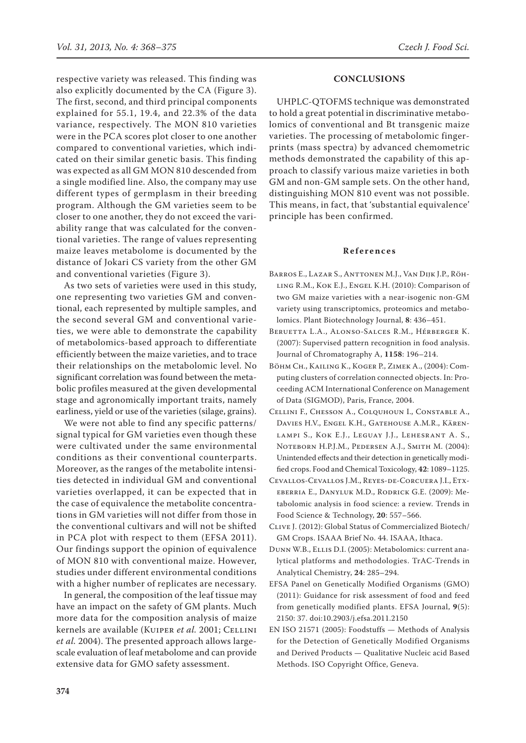respective variety was released. This finding was also explicitly documented by the CA (Figure 3). The first, second, and third principal components explained for 55.1, 19.4, and 22.3% of the data variance, respectively. The MON 810 varieties were in the PCA scores plot closer to one another compared to conventional varieties, which indicated on their similar genetic basis. This finding was expected as all GM MON 810 descended from a single modified line. Also, the company may use different types of germplasm in their breeding program. Although the GM varieties seem to be closer to one another, they do not exceed the variability range that was calculated for the conventional varieties. The range of values representing maize leaves metabolome is documented by the distance of Jokari CS variety from the other GM and conventional varieties (Figure 3).

As two sets of varieties were used in this study, one representing two varieties GM and conventional, each represented by multiple samples, and the second several GM and conventional varieties, we were able to demonstrate the capability of metabolomics-based approach to differentiate efficiently between the maize varieties, and to trace their relationships on the metabolomic level. No significant correlation was found between the metabolic profiles measured at the given developmental stage and agronomically important traits, namely earliness, yield or use of the varieties (silage, grains).

We were not able to find any specific patterns/ signal typical for GM varieties even though these were cultivated under the same environmental conditions as their conventional counterparts. Moreover, as the ranges of the metabolite intensities detected in individual GM and conventional varieties overlapped, it can be expected that in the case of equivalence the metabolite concentrations in GM varieties will not differ from those in the conventional cultivars and will not be shifted in PCA plot with respect to them (EFSA 2011). Our findings support the opinion of equivalence of MON 810 with conventional maize. However, studies under different environmental conditions with a higher number of replicates are necessary.

In general, the composition of the leaf tissue may have an impact on the safety of GM plants. Much more data for the composition analysis of maize kernels are available (KUIPER et al. 2001; CELLINI *et al.* 2004). The presented approach allows largescale evaluation of leaf metabolome and can provide extensive data for GMO safety assessment.

## **CONCLUSIONS**

UHPLC-QTOFMS technique was demonstrated to hold a great potential in discriminative metabolomics of conventional and Bt transgenic maize varieties. The processing of metabolomic fingerprints (mass spectra) by advanced chemometric methods demonstrated the capability of this approach to classify various maize varieties in both GM and non-GM sample sets. On the other hand, distinguishing MON 810 event was not possible. This means, in fact, that 'substantial equivalence' principle has been confirmed.

#### **References**

- Barros E., Lazar S., Anttonen M.J., Van Dijk J.P., Röhling R.M., Kok E.J., Engel K.H. (2010): Comparison of two GM maize varieties with a near-isogenic non-GM variety using transcriptomics, proteomics and metabolomics. Plant Biotechnology Journal, **8**: 436–451.
- Beruetta L.A., Alonso-Salces R.M., Hérberger K. (2007): Supervised pattern recognition in food analysis. Journal of Chromatography A, **1158**: 196–214.
- Böhm Ch., Kailing K., Koger P., Zimek A., (2004): Computing clusters of correlation connected objects. In: Proceeding ACM International Conference on Management of Data (SIGMOD), Paris, France, 2004.
- Cellini F., Chesson A., Colquhoun I., Constable A., Davies H.V., Engel K.H., Gatehouse A.M.R., Kärenlampi S., Kok E.J., Leguay J.J., Lehesrant A. S., Noteborn H.P.J.M., Pedersen A.J., Smith M. (2004): Unintended effects and their detection in genetically modified crops. Food and Chemical Toxicology, **42**: 1089–1125.
- Cevallos-Cevallos J.M., Reyes-de-Corcuera J.I., Etxeberria E., Danyluk M.D., Rodrick G.E. (2009): Metabolomic analysis in food science: a review. Trends in Food Science & Technology, **20**: 557–566.
- Clive J. (2012): Global Status of Commercialized Biotech/ GM Crops. ISAAA Brief No. 44. ISAAA, Ithaca.
- Dunn W.B., Ellis D.I. (2005): Metabolomics: current analytical platforms and methodologies. TrAC-Trends in Analytical Chemistry, **24**: 285–294.
- EFSA Panel on Genetically Modified Organisms (GMO) (2011): Guidance for risk assessment of food and feed from genetically modified plants. EFSA Journal, **9**(5): 2150: 37. doi:10.2903/j.efsa.2011.2150
- EN ISO 21571 (2005): Foodstuffs Methods of Analysis for the Detection of Genetically Modified Organisms and Derived Products — Qualitative Nucleic acid Based Methods. ISO Copyright Office, Geneva.